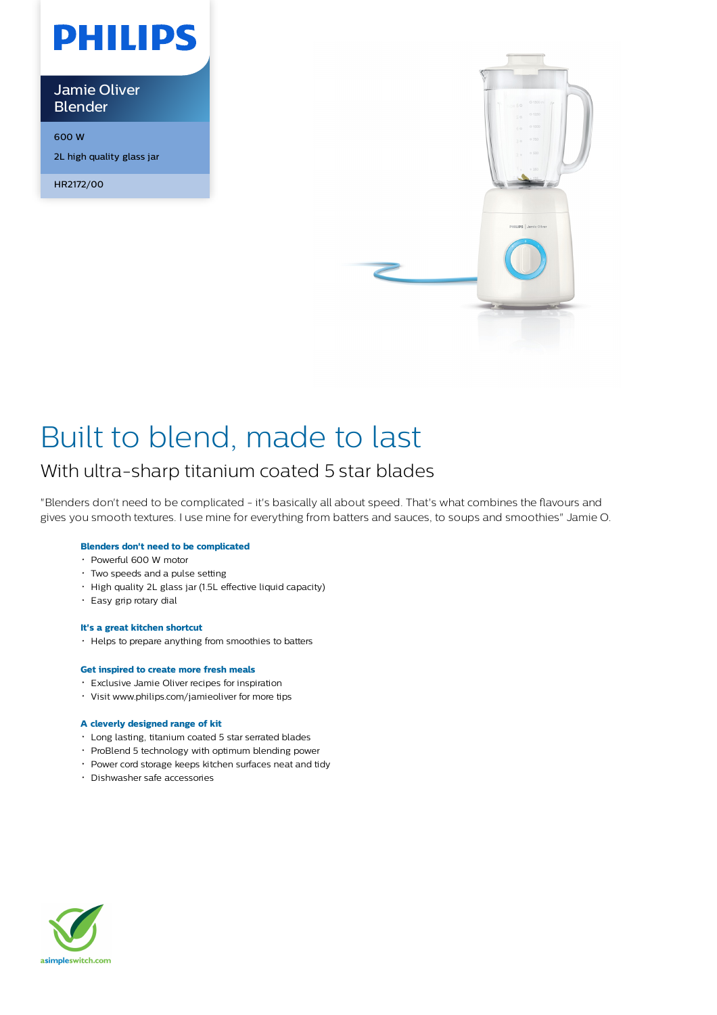

Jamie Oliver Blender

600 W

2L high quality glass jar

HR2172/00



# Built to blend, made to last

# With ultra-sharp titanium coated 5 star blades

"Blenders don't need to be complicated - it's basically all about speed. That's what combines the flavours and gives you smooth textures. I use mine for everything from batters and sauces, to soups and smoothies" Jamie O.

# **Blenders don't need to be complicated**

- Powerful 600 W motor
- Two speeds and a pulse setting
- High quality 2L glass jar (1.5L effective liquid capacity)
- Easy grip rotary dial

# **It's a great kitchen shortcut**

Helps to prepare anything from smoothies to batters

# **Get inspired to create more fresh meals**

- Exclusive Jamie Oliver recipes for inspiration
- Visit www.philips.com/jamieoliver for more tips

# **A cleverly designed range of kit**

- Long lasting, titanium coated 5 star serrated blades
- ProBlend 5 technology with optimum blending power
- Power cord storage keeps kitchen surfaces neat and tidy
- Dishwasher safe accessories

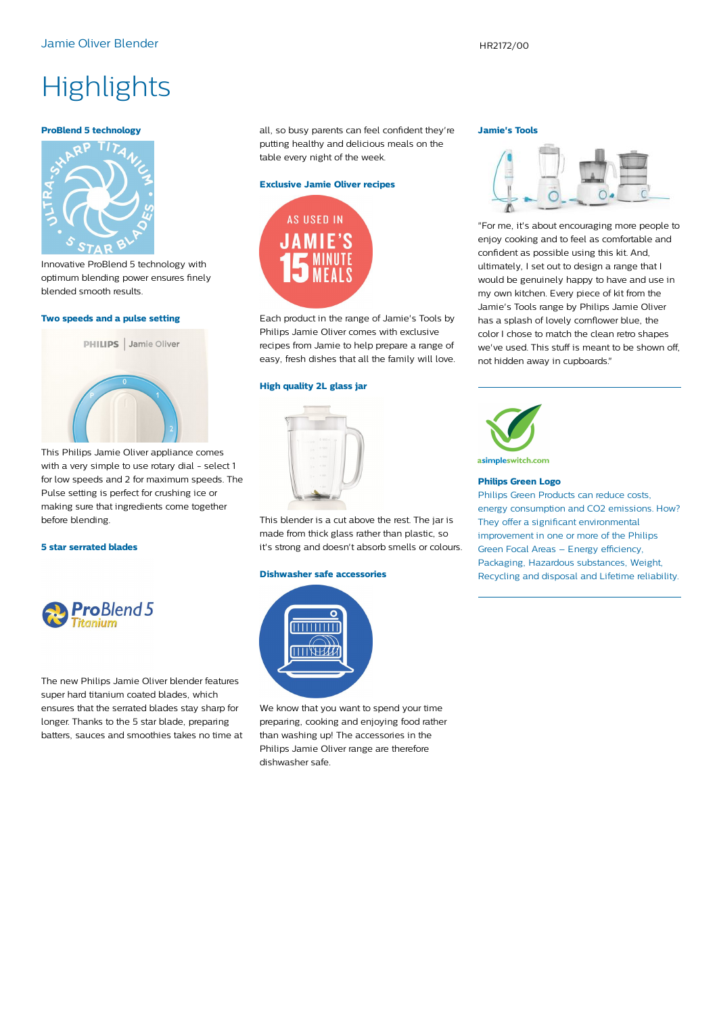# **Highlights**

#### **ProBlend 5 technology**



Innovative ProBlend 5 technology with optimum blending power ensures finely blended smooth results.

#### **Two speeds and a pulse setting**



This Philips Jamie Oliver appliance comes with a very simple to use rotary dial - select 1 for low speeds and 2 for maximum speeds. The Pulse setting is perfect for crushing ice or making sure that ingredients come together before blending.

#### **5 star serrated blades**



The new Philips Jamie Oliver blender features super hard titanium coated blades, which ensures that the serrated blades stay sharp for longer. Thanks to the 5 star blade, preparing batters, sauces and smoothies takes no time at all, so busy parents can feel confident they're putting healthy and delicious meals on the table every night of the week.

#### **Exclusive Jamie Oliver recipes**



Each product in the range of Jamie's Tools by Philips Jamie Oliver comes with exclusive recipes from Jamie to help prepare a range of easy, fresh dishes that all the family will love.

#### **High quality 2L glass jar**



This blender is a cut above the rest. The jar is made from thick glass rather than plastic, so it's strong and doesn't absorb smells or colours.

#### **Dishwasher safe accessories**



We know that you want to spend your time preparing, cooking and enjoying food rather than washing up! The accessories in the Philips Jamie Oliver range are therefore dishwasher safe.

### **Jamie's Tools**



"For me, it's about encouraging more people to enjoy cooking and to feel as comfortable and confident as possible using this kit. And, ultimately, I set out to design a range that I would be genuinely happy to have and use in my own kitchen. Every piece of kit from the Jamie's Tools range by Philips Jamie Oliver has a splash of lovely cornflower blue, the color I chose to match the clean retro shapes we've used. This stuff is meant to be shown off, not hidden away in cupboards."



#### **Philips Green Logo**

Philips Green Products can reduce costs, energy consumption and CO2 emissions. How? They offer a significant environmental improvement in one or more of the Philips Green Focal Areas – Energy efficiency, Packaging, Hazardous substances, Weight, Recycling and disposal and Lifetime reliability.